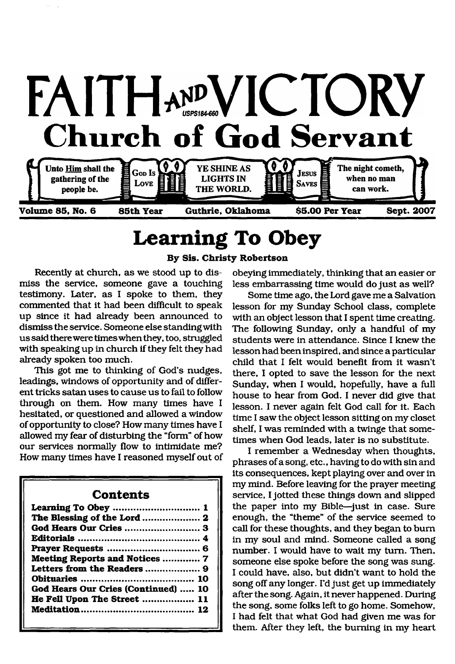

# <span id="page-0-0"></span>**Learning To Obey**

### **By Sis. Christy Robertson**

Recently at church, as we stood up to dismiss the service, someone gave a touching testimony. Later, as I spoke to them, they commented that it had been difficult to speak up since it had already been announced to dismiss the service. Someone else standing with us said there were times when they, too, struggled with speaking up in church if they felt they had already spoken too much.

This got me to thinking of God's nudges, leadings, windows of opportunity and of different tricks satan uses to cause us to fail to follow through on them. How many times have I hesitated, or questioned and allowed a window of opportunity to close? How many times have I allowed my fear of disturbing the "form" of how our services normally flow to intimidate me? How many times have I reasoned myself out of

#### **Contents**

| Learning To Obey  1                 |
|-------------------------------------|
| The Blessing of the Lord  2         |
|                                     |
|                                     |
|                                     |
| Meeting Reports and Notices  7      |
| Letters from the Readers  9         |
|                                     |
| God Hears Our Cries (Continued)  10 |
| He Fell Upon The Street  11         |
|                                     |
|                                     |

obeying immediately, thinking that an easier or less embarrassing time would do just as well?

Some time ago, the Lord gave me a Salvation lesson for my Sunday School class, complete with an object lesson that I spent time creating. The following Sunday, only a handful of my students were in attendance. Since I knew the lesson had been inspired, and since a particular child that I felt would benefit from it wasn't there, I opted to save the lesson for the next Sunday, when I would, hopefully, have a full house to hear from God. I never did give that lesson. I never again felt God call for it. Each time I saw the object lesson sitting on my closet shelf, I was reminded with a twinge that sometimes when God leads, later is no substitute.

I remember a Wednesday when thoughts, phrases of a song, etc., having to do with sin and its consequences, kept playing over and over in my mind. Before leaving for the prayer meeting service, I jotted these things down and slipped the paper into my Bible—just in case. Sure enough, the "theme" of the service seemed to call for these thoughts, and they began to bum in my soul and mind. Someone called a song number. I would have to wait my turn. Then, someone else spoke before the song was sung. I could have, also, but didn't want to hold the song off any longer. I'd just get up immediately after the song. Again, it never happened. During the song, some folks left to go home. Somehow, I had felt that what God had given me was for them. After they left, the burning in my heart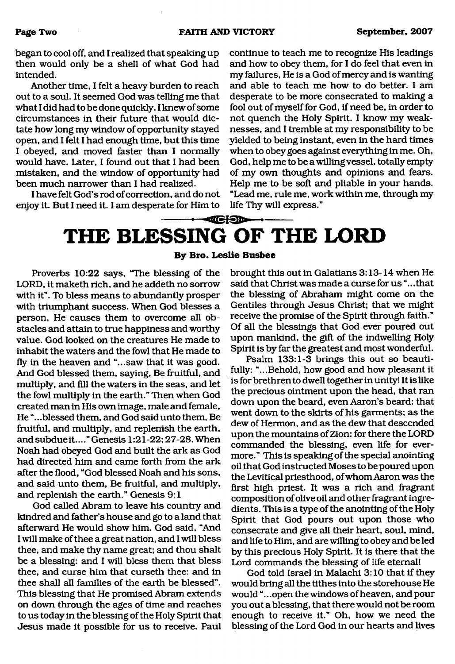began to cool off, and I realized that speaking up then would only be a shell of what God had intended.

Another time, I felt a heavy burden to reach out to a soul. It seemed God was telling me that what I did had to be done quickly. I knew of some circumstances in their future that would dictate how long my window of opportunity stayed open, and I felt I had enough time, but this time I obeyed, and moved faster than I normally would have. Later, I found out that I had been mistaken, and the window of opportunity had been much narrower than I had realized.

I have felt God's rod of correction, and do not enjoy it. But I need it. I am desperate for Him to continue to teach me to recognize His leadings and how to obey them, for I do feel that even in my failures, He is a God of mercy and is wanting and able to teach me how to do better. I am desperate to be more consecrated to making a fool out of myself for God, if need be, in order to not quench the Holy Spirit. I know my weaknesses, and I tremble at my responsibility to be yielded to being instant, even in the hard times when to obey goes against everything in me. Oh, God, help me to be a willing vessel, totally empty of my own thoughts and opinions and fears. Help me to be soft and pliable in your hands. "Lead me, rule me, work within me, through my life Thy will express."

# <span id="page-1-0"></span> $-1650$ **THE BLESSING OF THE LORD**

**By Bro. Leslie Busbee**

Proverbs 10:22 says, "The blessing of the LORD, it maketh rich, and he addeth no sorrow with it". To bless means to abundantly prosper with triumphant success. When God blesses a person, He causes them to overcome all obstacles and attain to true happiness and worthy value. God looked on the creatures He made to inhabit the waters and the fowl that He made to fly in the heaven and "...saw that it was good. And God blessed them, saying, Be fruitful, and multiply, and fill the waters in the seas, and let the fowl multiply in the earth." Then when God created man in His own image, male and female. He ".. .blessed them, and God said unto them, Be fruitful, and multiply, and replenish the earth, and subdue it...."Genesis 1:21-22; 27-28. When Noah had obeyed God and built the ark as God had directed him and came forth from the ark after the flood, "God blessed Noah and his sons, and said unto them, Be fruitful, and multiply, and replenish the earth." Genesis 9:1

God called Abram to leave his country and kindred and father's house and go to a land that afterward He would show him. God said, "And I will make of thee a great nation, and I will bless thee, and make thy name great; and thou shalt be a blessing: and I will bless them that bless thee, and curse him that curseth thee: and in thee shall all families of the earth be blessed". This blessing that He promised Abram extends on down through the ages of time and reaches to us today in the blessing of the Holy Spirit that Jesus made it possible for us to receive. Paul

brought this out in Galatians 3:13-14 when He said that Christ was made a curse for us ".. .that the blessing of Abraham might come on the Gentiles through Jesus Christ; that we might receive the promise of the Spirit through faith." Of all the blessings that God ever poured out upon mankind, the gift of the indwelling Holy Spirit is by far the greatest and most wonderful.

Psalm 133:1-3 brings this out so beautifully: "...Behold, how good and how pleasant it is for brethren to dwell together in unity! It is like the precious ointment upon the head, that ran down upon the beard, even Aaron's beard: that went down to the skirts of his garments; as the dew of Hermon, and as the dew that descended upon the mountains of Zion: for there the LORD commanded the blessing, even life for evermore." This is speaking of the special anointing oil that God instructed Moses to be poured upon the Levitical priesthood, of whom Aaron was the first high priest. It was a rich and fragrant composition of olive oil and other fragrant ingredients. This is a type of the anointing of the Holy Spirit that God pours out upon those who consecrate and give all their heart, soul, mind, and life to Him, and are willing to obey and be led by this precious Holy Spirit. It is there that the Lord commands the blessing of life eternal!

God told Israel in Malachi 3:10 that if they would bring all the tithes into the storehouse He would "...open the windows of heaven, and pour you out a blessing, that there would not be room enough to receive it." Oh, how we need the blessing of the Lord God in our hearts and lives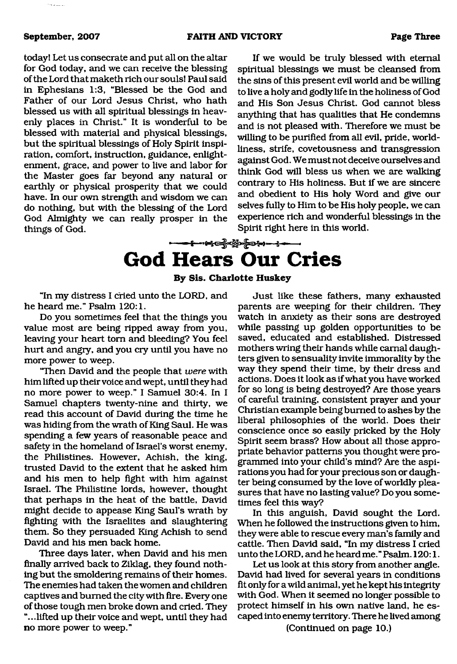#### **September, 2007 FAITH AND VICTORY Page Three**

لمستعاده

today! Let us consecrate and put all on the altar for God today, and we can receive the blessing of the Lord that maketh rich our souls! Paul said in Ephesians 1:3, "Blessed be the God and Father of our Lord Jesus Christ, who hath blessed us with all spiritual blessings in heavenly places in Christ." It is wonderful to be blessed with material and physical blessings, but the spiritual blessings of Holy Spirit inspiration, comfort, instruction, guidance, enlightenment, grace, and power to live and labor for the Master goes far beyond any natural or earthly or physical prosperity that we could have. In our own strength and wisdom we can do nothing, but with the blessing of the Lord God Almighty we can really prosper in the things of God.

If we would be truly blessed with eternal spiritual blessings we must be cleansed from the sins of this present evil world and be willing to live a holy and godly life in the holiness of God and His Son Jesus Christ. God cannot bless anything that has qualities that He condemns and is not pleased with. Therefore we must be willing to be purified from all evil, pride, worldliness, strife, covetousness and transgression against God. We must not deceive ourselves and think God will bless us when we are walking contrary to His holiness. But if we are sincere and obedient to His holy Word and give our selves fully to Him to be His holy people, we can experience rich and wonderful blessings in the Spirit right here in this world.

# <span id="page-2-0"></span>**God Hears Our Cries**

**By Sis. Charlotte Huskey**

"In my distress I cried unto the LORD, and he heard me." Psalm 120:1.

Do you sometimes feel that the things you value most are being ripped away from you, leaving your heart tom and bleeding? You feel hurt and angry, and you cry until you have no more power to weep.

"Then David and the people that *were* with him lifted up their voice and wept, until they had no more power to weep." I Samuel 30:4. In I Samuel chapters twenty-nine and thirty, we read this account of David during the time he was hiding from the wrath of King Saul. He was spending a few years of reasonable peace and safety in the homeland of Israel's worst enemy, the Philistines. However, Achish, the king, trusted David to the extent that he asked him and his men to help fight with him against Israel. The Philistine lords, however, thought that perhaps in the heat of the battle, David might decide to appease King Saul's wrath by fighting with the Israelites and slaughtering them. So they persuaded King Achish to send David and his men back home.

Three days later, when David and his men finally arrived back to Ziklag, they found nothing but the smoldering remains of their homes. The enemies had taken the women and children captives and burned the city with fire. Every one of those tough men broke down and cried. They "...lifted up their voice and wept, until they had no more power to weep."

Just like these fathers, many exhausted parents are weeping for their children. They watch in anxiety as their sons are destroyed while passing up golden opportunities to be saved, educated and established. Distressed mothers wring their hands while carnal daughters given to sensuality invite immorality by the way they spend their time, by their dress and actions. Does it look as if what you have worked for so long is being destroyed? Are those years of careful training, consistent prayer and your Christian example being burned to ashes by the liberal philosophies of the world. Does their conscience once so easily pricked by the Holy Spirit seem brass? How about all those appropriate behavior patterns you thought were programmed into your child's mind? Are the aspirations you had for your precious son or daughter being consumed by the love of worldly pleasures that have no lasting value? Do you sometimes feel this way?

In this anguish, David sought the Lord. When he followed the instructions given to him, they were able to rescue every man's family and cattle. Then David said, "In my distress I cried unto the LORD, and he heard me." Psalm. 120:1.

Let us look at this story from another angle. David had lived for several years in conditions fit only for a wild animal, yet he kept his integrity with God. When it seemed no longer possible to protect himself in his own native land, he escaped into enemy territory. There he lived among

(Continued on page 10.)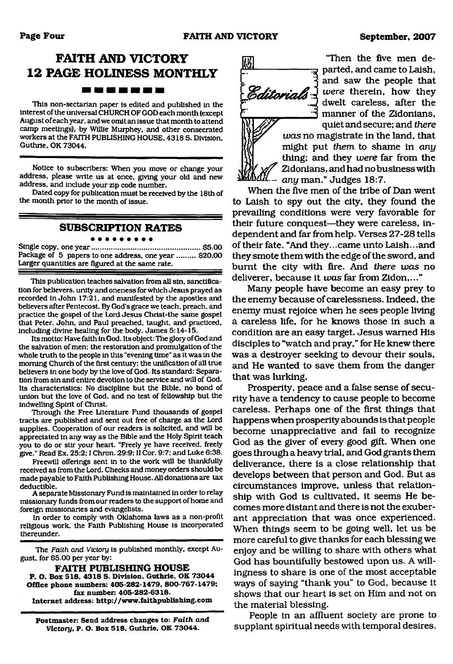## **FAITH AND VICTORY 12 PAGE HOLINESS MONTHLY** -------

This non-sectarian paper is edited and published in the interest of the universal CHURCH OF GOD each month (except August of each year, and we omit an issue that month to attend camp meetings), by Willie Murphey, and other consecrated workers at the FAITH PUBLISHING HOUSE, 4318 S. Division. Guthrie, OK 73044.

Notice to subscribers: When you move or change your address, please write us at once, giving your old and new address, and include your zip code number.

Dated copy for publication must be received by the 18th of the month prior to the month of issue.

### **SUBSCRIPTION RATES**

. . . . . .

Single copy, one year......................................................\$5.00 Package of 5 papers to one address, one year ......... \$20.00 Larger quantities are figured at the same rate.

This publication teaches salvation from all sin, sanctification for believers, unity and oneness for which Jesus prayed as recorded in John 17:21, and manifested by the apostles and believers after Pentecost. By God's grace we teach, preach, and practice the gospel of the Lord Jesus Christ-the same gospel that Peter, John, and Paul preached, taught, and practiced, including divine healing for the body. James 5:14-15.

Its motto: Have faith in God. Its object: The glory of God and the salvation of men: the restoration and promulgation of the whole truth to the people in this "evening time" as it was in the morning Church of the first century: the unification of all true believers in one body by the love of God. Its standard: Separation from sin and entire devotion to the service and will of God. Its characteristics: No discipline but the Bible, no bond of union but the love of God, and no test of fellowship but the indwelling Spirit of Christ.

Through the Free Literature Fund thousands of gospel tracts are published and sent out free of charge as the Lord supplies. Cooperation of our readers is solicited, and will be appreciated in any way as the Bible and the Holy Spirit teach you to do or stir your heart. "Freely ye have received, freely give." Read Ex. 25:2:1 Chron. 29:9; II Cor. 9:7; and Luke 6:38.

Freewill offerings sent in to the work will be thankfully received as from the Lord. Checks and money orders should be made payable to Faith Publishing House. All donations are tax deductible.

A separate Missionary Fund is maintained in order to relay missionary funds from our readers to the support of home and foreign missionaries and evangelists.

In order to comply with Oklahoma laws as a non-profit religious work, the Faith Publishing House is incorporated thereunder.

The *Faith and Victory* is published monthly, except August, for \$5.00 per year by:

**FAITH PUBLISHING HOUSE P. O. Box 518, 4318 S. Division, Guthrie, OK 73044 Office phone numbers: 405-282-1479, 800-767-1479; fax number: 405-282-6318. Internet address: <http://www.faithpublishing.com>**

**Postmaster: Send address changes to:** *Faith and Victory,* **P. O. Box 518, Guthrie, OK 73044.**



"Then the five men de-<del>्र</del> parted, and came to Laish, and saw the people that *were* therein, how they dwelt careless, after the manner of the Zidonians, quiet and secure; and *there*

*W ~ was* no magistrate in the land, that might put *them* to shame in *any* thing; and they *were* far from the Zidonians, and had no business with *any* man." Judges 18:7.

When the five men of the tribe of Dan went to Laish to spy out the city, they found the prevailing conditions were very favorable for their future conquest—they were careless, independent and far from help. Verses 27-28 tells of their fate. "And they...came unto Laish...and they smote them with the edge of the sword, and burnt the city with fire. And *there was* no deliverer, because it *was* far from Zidon,..."

Many people have become an easy prey to the enemy because of carelessness. Indeed, the enemy must rejoice when he sees people living a careless life, for he knows those in such a condition are an easy target. Jesus warned His disciples to "watch and pray," for He knew there was a destroyer seeking to devour their souls, and He wanted to save them from the danger that was lurking.

Prosperity, peace and a false sense of security have a tendency to cause people to become careless. Perhaps one of the first things that happens when prosperity abounds is that people become unappreciative and fail to recognize God as the giver of every good gift. When one goes through a heavy trial, and God grants them deliverance, there is a close relationship that develops between that person and God. But as circumstances improve, unless that relationship with God is cultivated, it seems He becomes more distant and there is not the exuberant appreciation that was once experienced. When things seem to be going well, let us be more careful to give thanks for each blessing we enjoy and be willing to share with others what God has bountifully bestowed upon us. A willingness to share is one of the most acceptable ways of saying "thank you" to God, because it shows that our heart is set on Him and not on the material blessing.

People in an affluent society are prone to supplant spiritual needs with temporal desires.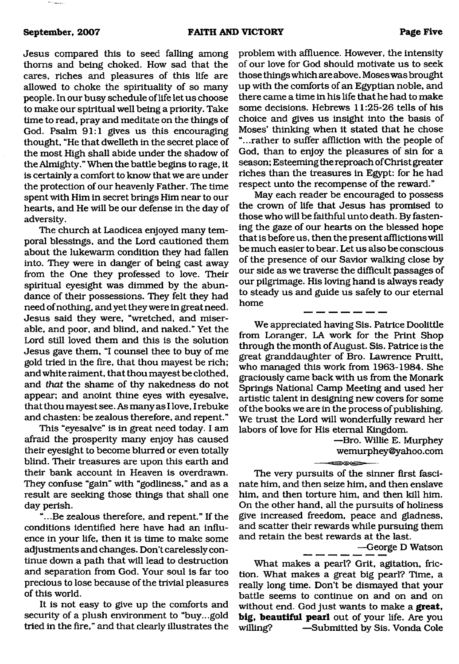Jesus compared this to seed falling among thorns and being choked. How sad that the cares, riches and pleasures of this life are allowed to choke the spirituality of so many people. In our busy schedule of life let us choose to make our spiritual well being a priority. Take time to read, pray and meditate on the things of God. Psalm 91:1 gives us this encouraging thought, "He that dwelleth in the secret place of the most High shall abide under the shadow of the Almighty." When the battle begins to rage, it is certainly a comfort to know that we are under the protection of our heavenly Father. The time spent with Him in secret brings Him near to our hearts, and He will be our defense in the day of adversity.

The church at Laodicea enjoyed many temporal blessings, and the Lord cautioned them about the lukewarm condition they had fallen into. They were in danger of being cast away from the One they professed to love. Their spiritual eyesight was dimmed by the abundance of their possessions. They felt they had need of nothing, and yet they were in great need. Jesus said they were, "wretched, and miserable, and poor, and blind, and naked." Yet the Lord still loved them and this is the solution Jesus gave them, "I counsel thee to buy of me gold tried in the fire, that thou mayest be rich; and white raiment, that thou mayest be clothed, and *that* the shame of thy nakedness do not appear; and anoint thine eyes with eyesalve, that thou mayest see. As many as I love, I rebuke and chasten: be zealous therefore, and repent."

This "eyesalve" is in great need today. I am afraid the prosperity many enjoy has caused their eyesight to become blurred or even totally blind. Their treasures are upon this earth and their bank account in Heaven is overdrawn. They confuse "gain" with "godliness," and as a result are seeking those things that shall one day perish.

...Be zealous therefore, and repent." If the conditions identified here have had an influence in your life, then it is time to make some adjustments and changes. Don't carelessly continue down a path that will lead to destruction and separation from God. Your soul is far too precious to lose because of the trivial pleasures of this world.

It is not easy to give up the comforts and security of a plush environment to "buy...gold tried in the fire," and that clearly illustrates the problem with affluence. However, the intensity of our love for God should motivate us to seek those things which are above. Moses was brought up with the comforts of an Egyptian noble, and there came a time in his life that he had to make some decisions. Hebrews 11:25-26 tells of his choice and gives us insight into the basis of Moses' thinking when it stated that he chose "...rather to suffer affliction with the people of God, than to enjoy the pleasures of sin for a season; Esteeming the reproach of Christ greater riches than the treasures in Egypt: for he had respect unto the recompense of the reward."

May each reader be encouraged to possess the crown of life that Jesus has promised to those who will be faithful unto death. By fastening the gaze of our hearts on the blessed hope that is before us, then the present afflictions will be much easier to bear. Let us also be conscious of the presence of our Savior walking close by our side as we traverse the difficult passages of our pilgrimage. His loving hand is always ready to steady us and guide us safely to our eternal home

We appreciated having Sis. Patrice Doolittle from Loranger, LA work for the Print Shop through the month of August. Sis. Patrice is the great granddaughter of Bro. Lawrence Pruitt, who managed this work from 1963-1984. She graciously came back with us from the Monark Springs National Camp Meeting and used her artistic talent in designing new covers for some of the books we are in the process of publishing. We trust the Lord will wonderfully reward her labors of love for His eternal Kingdom.

> —Bro. Willie E. Murphey [wemurphey@yahoo.com](mailto:wemurphey@yahoo.com)

The very pursuits of the sinner first fascinate him, and then seize him, and then enslave him, and then torture him, and then kill him. On the other hand, all the pursuits of holiness give increased freedom, peace and gladness, and scatter their rewards while pursuing them and retain the best rewards at the last.

⇔⊙⇔

—George D Watson

What makes a pearl? Grit, agitation, friction. What makes a great big pearl? Time, a really long time. Don't be dismayed that your battle seems to continue on and on and on without end. God just wants to make a **great, big, beautiful pearl** out of your life. Are you willing? —Submitted by Sis. Vonda Cole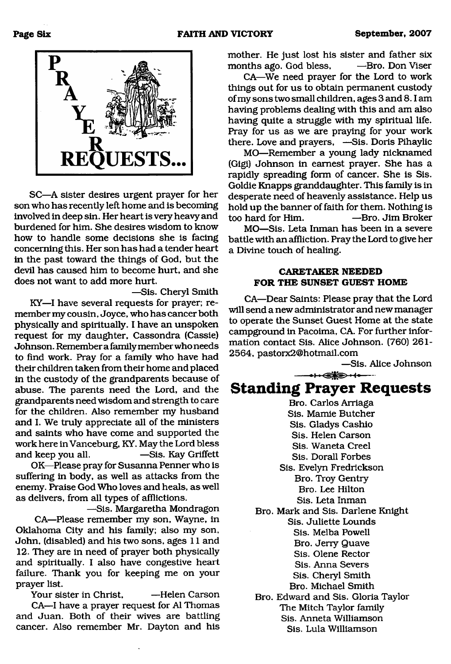

SC—A sister desires urgent prayer for her son who has recently left home and is becoming involved in deep sin. Her heart is very heavy and burdened for him. She desires wisdom to know how to handle some decisions she is facing concerning this. Her son has had a tender heart in the past toward the things of God, but the devil has caused him to become hurt, and she does not want to add more hurt.

—Sis. Cheryl Smith

KY—I have several requests for prayer; remember my cousin, Joyce, who has cancer both physically and spiritually. I have an unspoken request for my daughter, Cassondra (Cassie) Johnson. Remember a family member who needs to find work. Pray for a family who have had their children taken from their home and placed in the custody of the grandparents because of abuse. The parents need the Lord, and the grandparents need wisdom and strength to care for the children. Also remember my husband and I. We truly appreciate all of the ministers and saints who have come and supported the work here in Vanceburg, KY. May the Lord bless and keep you all. —Sis. Kay Griffett

OK—Please pray for Susanna Penner who is suffering in body, as well as attacks from the enemy. Praise God Who loves and heals, as well as delivers, from all types of afflictions.

—Sis. Margaretha Mondragon CA—Please remember my son, Wayne, in Oklahoma City and his family; also my son, John, (disabled) and his two sons, ages 11 and 12. They are in need of prayer both physically and spiritually. I also have congestive heart failure. Thank you for keeping me on your prayer list.

Your sister in Christ, —Helen Carson CA—I have a prayer request for A1 Thomas and Juan. Both of their wives are battling cancer. Also remember Mr. Dayton and his

mother. He just lost his sister and father six months ago. God bless,  $-$ Bro. Don Viser

CA—We need prayer for the Lord to work things out for us to obtain permanent custody of my sons two small children, ages 3 and 8.1 am having problems dealing with this and am also having quite a struggle with my spiritual life. Pray for us as we are praying for your work there. Love and prayers, —Sis. Doris Pihaylic

MO—Remember a young lady nicknamed (Gigi) Johnson in earnest prayer. She has a rapidly spreading form of cancer. She is Sis. Goldie Knapps granddaughter. This family is in desperate need of heavenly assistance. Help us hold up the banner of faith for them. Nothing is too hard for Him. —Bro. Jim Broker

MO—Sis. Leta Inman has been in a severe battle with an affliction. Pray the Lord to give her a Divine touch of healing.

#### **CARETAKER NEEDED FOR THE SUNSET GUEST HOME**

CA—Dear Saints: Please pray that the Lord will send a new administrator and new manager to operate the Sunset Guest Home at the state campground in Pacoima, CA. For further information contact Sis. Alice Johnson. (760) 261- 2564, [pastorx2@hotmail.com](mailto:pastorx2@hotmail.com)

—Sis. Alice Johnson

## **Standing Prayer Requests**

---- •! ■<£%£.-!.----

Bro. Carlos Arriaga Sis. Mamie Butcher Sis. Gladys Cashio Sis. Helen Carson Sis. Waneta Creel Sis. Dorall Forbes Sis. Evelyn Fredrickson Bro. Troy Gentry Bro. Lee Hilton Sis. Leta Inman Bro. Mark and Sis. Darlene Knight Sis. Juliette Lounds Sis. Melba Powell Bro. Jerry Quave Sis. Olene Rector Sis. Anna Severs Sis. Cheryl Smith Bro. Michael Smith Bro. Edward and Sis. Gloria Taylor The Mitch Taylor family Sis. Anneta Williamson Sis. Lula Williamson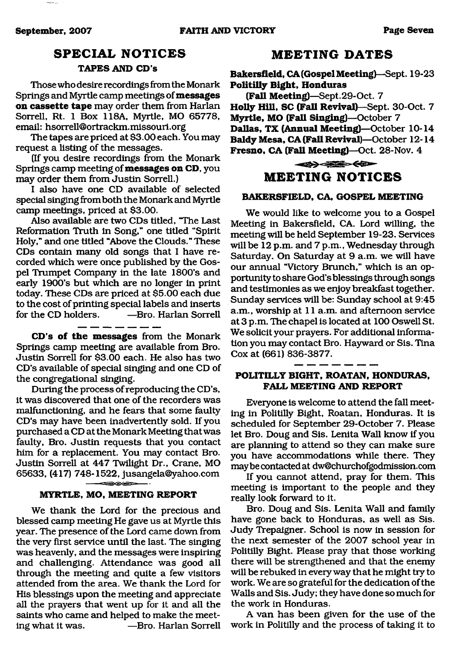## **SPECIAL NOTICES**

### **TAPES AND CD's**

Those who desire recordings from the Monark Springs and Myrtle camp meetings of **messages on cassette tape** may order them from Harlan Sorrell, Rt. 1 Box 118A, Myrtle, MO 65778, email: hsorrell@ortrackm.missouri.org

The tapes are priced at \$3.00 each. You may request a listing of the messages.

(If you desire recordings from the Monark Springs camp meeting of **messages on CD,** you may order them from Justin Sorrell.)

I also have one CD available of selected special singing from both the Monark and Myrtle camp meetings, priced at \$3.00.

Also available are two CDs titled, "The Last Reformation Truth in Song," one titled "Spirit Holy," and one titled "Above the Clouds." These CDs contain many old songs that I have recorded which were once published by the Gospel Trumpet Company in the late 1800's and early 1900's but which are no longer in print today. These CDs are priced at \$5.00 each due to the cost of printing special labels and inserts for the CD holders. — — Bro. Harlan Sorrell

**CD's of the messages** from the Monark Springs camp meeting are available from Bro. Justin Sorrell for \$3.00 each. He also has two CD's available of special singing and one CD of the congregational singing.

During the process of reproducing the CD's, it was discovered that one of the recorders was malfunctioning, and he fears that some faulty CD's may have been inadvertently sold. If you purchased a CD at the Monark Meeting that was faulty, Bro. Justin requests that you contact him for a replacement. You may contact Bro. Justin Sorrell at 447 Twilight Dr., Crane, MO 65633, (417) 748-1522, [jusangela@yahoo.com](mailto:jusangela@yahoo.com)

#### **MYRTLE, MO, MEETING REPORT**

We thank the Lord for the precious and blessed camp meeting He gave us at Myrtle this year. The presence of the Lord came down from the very first service until the last. The singing was heavenly, and the messages were inspiring and challenging. Attendance was good all through the meeting and quite a few visitors attended from the area. We thank the Lord for His blessings upon the meeting and appreciate all the prayers that went up for it and all the saints who came and helped to make the meeting what it was. —Bro. Harlan Sorrell

### **MEETING DATES**

**Bakersfield, CA (Gospel Meeting)**—Sept. 19-23 **Politilly Bight, Honduras**

**(Fall Meeting)**—Sept.29-Oct. 7 **Holly Hill, SC (Fall Revival)—**Sept. 30-Oct. 7 **Myrtle, MO (Fall Singing)**—October 7 **Dallas, TX (Annual Meeting)**—October 10-14 **Baldy Mesa, CA (Fall Revival)**—October 12-14 **Fresno, CA (Fall Meeting)**—Oct. 28-Nov. 4

## $\iff \iff \iff$ **MEETING NOTICES**

#### **BAKERSFIELD, CA, GOSPEL MEETING**

We would like to welcome you to a Gospel Meeting in Bakersfield, CA. Lord willing, the meeting will be held September 19-23. Services will be 12 p.m. and 7 p.m., Wednesday through Saturday. On Saturday at 9 a.m. we will have our annual "Victory Brunch," which is an opportunity to share God's blessings through songs and testimonies as we enjoy breakfast together. Sunday services will be: Sunday school at 9:45 a.m., worship at 11 a.m. and afternoon service at 3 p.m. The chapel is located at 100 Oswell St. We solicit your prayers. For additional information you may contact Bro. Hayward or Sis. Tina Cox at (661) 836-3877.

#### **POLITILLY BIGHT, ROATAN, HONDURAS, FALL MEETING AND REPORT**

Everyone is welcome to attend the fall meeting in Politilly Bight, Roatan, Honduras. It is scheduled for September 29-October 7. Please let Bro. Doug and Sis. Lenita Wall know if you are planning to attend so they can make sure you have accommodations while there. They maybe contacted at [dw@churchofgodmission.com](mailto:dw@churchofgodmission.com)

If you cannot attend, pray for them. This meeting is important to the people and they really look forward to it.

Bro. Doug and Sis. Lenita Wall and family have gone back to Honduras, as well as Sis. Judy Trepaigner. School is now in session for the next semester of the 2007 school year in Politilly Bight. Please pray that those working there will be strengthened and that the enemy will be rebuked in every way that he might try to work. We are so grateful for the dedication of the Walls and Sis. Judy; they have done so much for the work in Honduras.

A van has been given for the use of the work in Politilly and the process of taking it to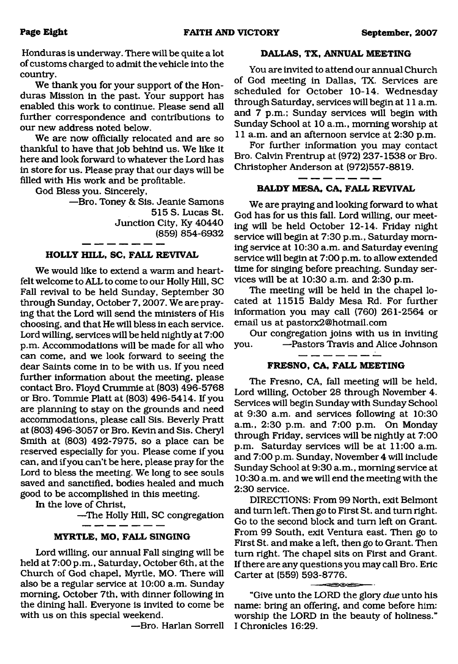Honduras is underway. There will be quite a lot of customs charged to admit the vehicle into the country.

We thank you for your support of the Honduras Mission in the past. Your support has enabled this work to continue. Please send all further correspondence and contributions to our new address noted below.

We are now officially relocated and are so thankful to have that job behind us. We like it here and look forward to whatever the Lord has in store for us. Please pray that our days will be filled with His work and be profitable.

God Bless you. Sincerely,

—Bro. Toney & Sis. Jeanie Samons 515 S. Lucas St. Junction City, Ky 40440 (859) 854-6932

#### **HOLLY HILL, SC, FALL REVIVAL**

We would like to extend a warm and heartfelt welcome to ALL to come to our Holly Hill, SC Fall revival to be held Sunday, September 30 through Sunday, October 7,2007. We are praying that the Lord will send the ministers of His choosing, and that He will bless in each service. Lord willing, services will be held nightly at 7:00 p.m. Accommodations will be made for all who can come, and we look forward to seeing the dear Saints come in to be with us. If you need further information about the meeting, please contact Bro. Floyd Crummie at (803) 496-5768 or Bro. Tommie Platt at (803) 496-5414. If you are planning to stay on the grounds and need accommodations, please call Sis. Beverly Pratt at (803) 496-3057 or Bro. Kevin and Sis. Cheryl Smith at (803) 492-7975, so a place can be reserved especially for you. Please come if you can, and if you can't be here, please pray for the Lord to bless the meeting. We long to see souls saved and sanctified, bodies healed and much good to be accomplished in this meeting.

In the love of Christ,

—The Holly Hill, SC congregation

#### **MYRTLE, MO, FALL SINGING**

Lord willing, our annual Fall singing will be held at 7:00 p.m., Saturday, October 6th, at the Church of God chapel, Myrtle, MO. There will also be a regular service at 10:00 a.m. Sunday morning, October 7th, with dinner following in the dining hall. Everyone is invited to come be with us on this special weekend.

—Bro. Harlan Sorrell

#### **DALLAS, TX, ANNUAL MEETING**

You are invited to attend our annual Church of God meeting in Dallas, TX. Services are scheduled for October 10-14. Wednesday through Saturday, services will begin at 11 a.m. and 7 p.m.; Sunday services will begin with Sunday School at 10 a.m., morning worship at 11 a.m. and an afternoon service at 2:30 p.m.

For further information you may contact Bro. Calvin Frentrup at (972) 237-1538 or Bro. Christopher Anderson at (972)557-8819.

#### **BALDY MESA, CA, FALL REVIVAL**

We are praying and looking forward to what God has for us this fall. Lord willing, our meeting will be held October 12-14. Friday night service will begin at 7:30 p.m., Saturday morning service at 10:30 a.m. and Saturday evening service will begin at 7:00 p.m. to allow extended time for singing before preaching. Sunday services will be at 10:30 a.m. and 2:30 p.m.

The meeting will be held in the chapel located at 11515 Baldy Mesa Rd. For further information you may call (760) 261-2564 or email us at [pastorx2@hotmail.com](mailto:pastorx2@hotmail.com)

Our congregation joins with us in inviting you. —Pastors Travis and Alice Johnson

#### **FRESNO, CA, FALL MEETING**

The Fresno, CA, fall meeting will be held, Lord willing, October 28 through November 4. Services will begin Sunday with Sunday School at 9:30 a.m. and services following at 10:30 a.m., 2:30 p.m. and 7:00 p.m. On Monday through Friday, services will be nightly at 7:00 p.m. Saturday services will be at 11:00 a.m. and 7:00 p.m. Sunday, November 4 will include Sunday School at 9:30 a.m., morning service at 10:30 a.m. and we will end the meeting with the 2:30 service.

DIRECTIONS: From 99 North, exit Belmont and turn left. Then go to First St. and turn right. Go to the second block and turn left on Grant. From 99 South, exit Ventura east. Then go to First St. and make a left, then go to Grant. Then turn right. The chapel sits on First and Grant. If there are any questions you may call Bro. Eric Carter at (559) 593-8776.

"Give unto the LORD the glory *due* unto his name: bring an offering, and come before him: worship the LORD in the beauty of holiness." I Chronicles 16:29.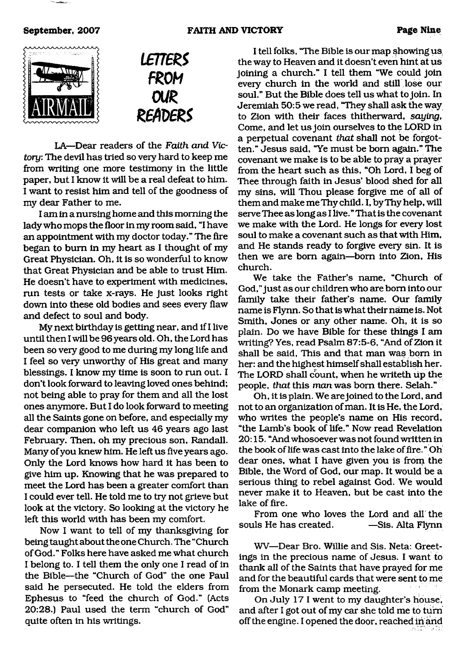



LA—Dear readers of the *Faith and Victory:* The devil has tried so very hard to keep me from writing one more testimony in the little paper, but I know it will be a real defeat to him. I want to resist him and tell of the goodness of my dear Father to me.

I am in a nursing home and this morning the lady who mops the floor in my room said, "I have an appointment with my doctor today." The fire began to bum in my heart as I thought of my Great Physician. Oh, it is so wonderful to know that Great Physician and be able to trust Him. He doesn't have to experiment with medicines, run tests or take x-rays. He just looks right down into these old bodies and sees every flaw and defect to soul and body.

My next birthday is getting near, and if I live until then I will be 96 years old. Oh, the Lord has been so very good to me during my long life and I feel so very unworthy of His great and many blessings. I know my time is soon to run out. I don't look forward to leaving loved ones behind; not being able to pray for them and all the lost ones anymore. But I do look forward to meeting all the Saints gone on before, and especially my dear companion who left us 46 years ago last February. Then, oh my precious son, Randall. Many of you knew him. He left us five years ago. Only the Lord knows how hard it has been to give him up. Knowing that he was prepared to meet the Lord has been a greater comfort than I could ever tell. He told me to try not grieve but look at the victory. So looking at the victory he left this world with has been my comfort.

Now I want to tell of my thanksgiving for being taught about the one Church. The "Church of God." Folks here have asked me what church I belong to. I tell them the only one I read of in the Bible—the "Church of God" the one Paul said he persecuted. He told the elders from Ephesus to "feed the church of God." (Acts 20:28.) Paul used the term "church of God" quite often in his writings.

I tell folks, "The Bible is our map showing us the way to Heaven and it doesn't even hint at us joining a church." I tell them "We could join every church in the world and still lose our soul." But the Bible does tell us what to join. In Jeremiah 50:5 we read, "They shall ask the way to Zion with their faces thitherward, *saying,* Come, and let us join ourselves to the LORD in a perpetual covenant *that* shall not be forgotten." Jesus said, "Ye must be bom again." The covenant we make is to be able to pray a prayer from the heart such as this, "Oh Lord, I beg of Thee through faith in Jesus' blood shed for all my sins, will Thou please forgive me of all of them and make me Thy child. I, by Thy help, will serve Thee as long as I live." That is the covenant we make with the Lord. He longs for every lost soul to make a covenant such as that with Him, and He stands ready to forgive every sin. It is then we are bom again—bom into Zion, His church.

We take the Father's name, "Church of God," just as our children who are bom into our family take their father's name. Our family name is Flynn. So that is what their name is. Not Smith, Jones or any other name. Oh, it is so plain. Do we have Bible for these things I am writing? Yes, read Psalm 87:5-6, "And of Zion it shall be said, This and that *man* was bom in her: and the highest himself shall establish her. The LORD shall count, when he writeth up the people, *that* this *man* was bom there. Selah."

Oh, it is plain. We are joined to the Lord, and not to an organization of man. It is He, the Lord, who writes the people's name on His record, "the Lamb's book of life." Now read Revelation 20:15. "And whosoever was not found written in the book of life was cast into the lake of fire." Oh dear ones, what I have given you is from the Bible, the Word of God, our map. It would be a serious thing to rebel against God. We would never make it to Heaven, but be cast into the lake of fire.

From one who loves the Lord and all the souls He has created. — Sis. Alta Flynn

WV—Dear Bro. Willie and Sis. Neta: Greetings in the precious name of Jesus. I want to thank all of the Saints that have prayed for me and for the beautiful cards that were sent to me from the Monark camp meeting.

On July 17 1 went to my daughter's house, and after I got out of my car she told me to turn off the engine. I opened the door, reached in and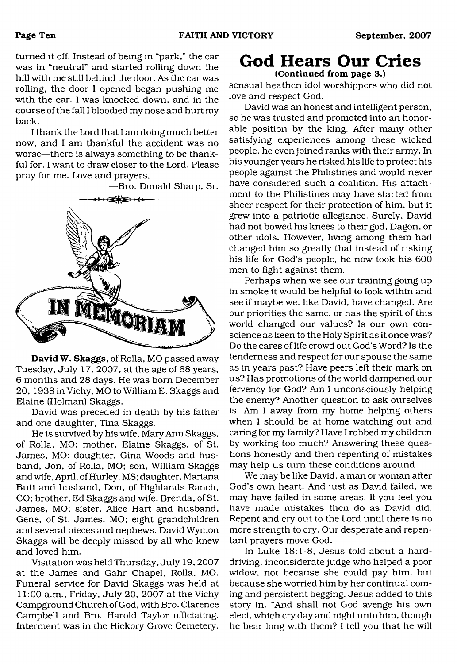turned it off. Instead of being in "park," the car was in "neutral" and started rolling down the hill with me still behind the door. As the car was rolling, the door I opened began pushing me with the car. I was knocked down, and in the course of the fall I bloodied my nose and hurt my back.

I thank the Lord that I am doing much better now, and I am thankful the accident was no worse—there is always something to be thankful for. I want to draw closer to the Lord. Please pray for me. Love and prayers,

—Bro. Donald Sharp, Sr.

IORIA

David W. Skaggs, of Rolla, MO passed away Tuesday, July 17, 2007, at the age of 68 years, 6 months and 28 days. He was bom December 20, 1938 in Vichy, MO to William E. Skaggs and Elaine (Holman) Skaggs.

David was preceded in death by his father and one daughter, Tina Skaggs.

He is survived by his wife, Mary Ann Skaggs, of Rolla, MO; mother, Elaine Skaggs, of St. James, MO; daughter, Gina Woods and husband, Jon, of Rolla, MO; son, William Skaggs and wife, April, of Hurley, MS; daughter, Mariana Buti and husband, Don, of Highlands Ranch, CO; brother, Ed Skaggs and wife, Brenda, of St. James, MO; sister, Alice Hart and husband. Gene, of St. James, MO; eight grandchildren and several nieces and nephews. David Wymon Skaggs will be deeply missed by all who knew and loved him.

Visitation was held Thursday, July 19, 2007 at the James and Gahr Chapel, Rolla, MO. Funeral service for David Skaggs was held at 11:00 a.m., Friday, July 20, 2007 at the Vichy Campground Church of God, with Bro. Clarence Campbell and Bro. Harold Taylor officiating. Interment was in the Hickory Grove Cemetery.

### **God Hears Our Cries** (Continued from page 3.)

sensual heathen idol worshippers who did not love and respect God.

David was an honest and intelligent person, so he was trusted and promoted into an honorable position by the king. After many other satisfying experiences among these wicked people, he even joined ranks with their army. In his younger years he risked his life to protect his people against the Philistines and would never have considered such a coalition. His attachment to the Philistines may have started from sheer respect for their protection of him, but it grew into a patriotic allegiance. Surely, David had not bowed his knees to their god, Dagon, or other idols. However, living among them had changed him so greatly that instead of risking his life for God's people, he now took his 600 men to fight against them.

Perhaps when we see our training going up in smoke it would be helpful to look within and see if maybe we, like David, have changed. Are our priorities the same, or has the spirit of this world changed our values? Is our own conscience as keen to the Holy Spirit as it once was? Do the cares of life crowd out God's Word? Is the tenderness and respect for our spouse the same as in years past? Have peers left their mark on us? Has promotions of the world dampened our fervency for God? Am I unconsciously helping the enemy? Another question to ask ourselves is, Am I away from my home helping others when I should be at home watching out and caring for my family? Have I robbed my children by working too much? Answering these questions honestly and then repenting of mistakes may help us turn these conditions around.

We may be like David, a man or woman after God's own heart. And just as David failed, we may have failed in some areas. If you feel you have made mistakes then do as David did. Repent and cry out to the Lord until there is no more strength to cry. Our desperate and repentant prayers move God.

In Luke 18:1-8, Jesus told about a harddriving, inconsiderate judge who helped a poor widow, not because she could pay him, but because she worried him by her continual coming and persistent begging. Jesus added to this story in. "And shall not God avenge his own elect, which cry day and night unto him, though he bear long with them? I tell you that he will

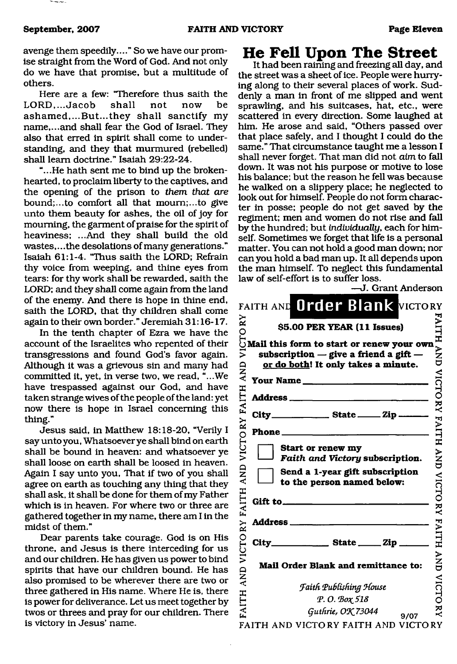The company of the

avenge them speedily...." So we have our promise straight from the Word of God. And not only do we have that promise, but a multitude of others.

Here are a few: "Therefore thus saith the LORD,...Jacob shall not now be ashamed,...But...they shall sanctify my name,...and shall fear the God of Israel. They also that erred in spirit shall come to understanding, and they that murmured (rebelled) shall leam doctrine." Isaiah 29:22-24.

"...He hath sent me to bind up the brokenhearted, to proclaim liberty to the captives, and the opening of the prison to *them that are* bound;...to comfort all that mourn;...to give unto them beauty for ashes, the oil of joy for mourning, the garment of praise for the spirit of heaviness; ...And they shall build the old wastes,... the desolations of many generations." Isaiah 61:1-4. "Thus saith the LORD; Refrain thy voice from weeping, and thine eyes from tears: for thy work shall be rewarded, saith the LORD; and they shall come again from the land of the enemy. And there is hope in thine end, saith the LORD, that thy children shall come again to their own border." Jeremiah 31:16-17.

In the tenth chapter of Ezra we have the account of the Israelites who repented of their transgressions and found God's favor again. Although it was a grievous sin and many had committed it, yet, in verse two, we read, "...We have trespassed against our God, and have taken strange wives of the people of the land: yet now there is hope in Israel concerning this thing."

Jesus said, in Matthew 18:18-20, "Verily I say unto you, Whatsoever ye shall bind on earth shall be bound in heaven: and whatsoever ye shall loose on earth shall be loosed in heaven. Again I say unto you, That if two of you shall agree on earth as touching any thing that they shall ask, it shall be done for them of my Father which is in heaven. For where two or three are gathered together in my name, there am I in the midst of them."

Dear parents take courage. God is on His throne, and Jesus is there interceding for us and our children. He has given us power to bind spirits that have our children bound. He has also promised to be wherever there are two or three gathered in His name. Where He is, there is power for deliverance. Let us meet together by twos or threes and pray for our children. There is victory in Jesus' name.

## <span id="page-10-0"></span>**He Fell Upon The Street**

It had been raining and freezing all day, and the street was a sheet of ice. People were hurrying along to their several places of work. Suddenly a man in front of me slipped and went sprawling, and his suitcases, hat, etc., were scattered in every direction. Some laughed at him. He arose and said, "Others passed over that place safely, and I thought I could do the same." That circumstance taught me a lesson I shall never forget. That man did not *aim* to fall down. It was not his purpose or motive to lose his balance; but the reason he fell was because he walked on a slippery place; he neglected to look out for himself. People do not form character in posse; people do not get saved by the regiment; men and women do not rise and fall by the hundred; but *individually,* each for himself. Sometimes we forget that life is a personal matter. You can not hold a good man down; nor can you hold a bad man up. It all depends upon the man himself. To neglect this fundamental law of self-effort is to suffer loss.

|                        | J. Grant Anderson                                                                                                             |                 |
|------------------------|-------------------------------------------------------------------------------------------------------------------------------|-----------------|
|                        | FAITH AND Order Blank VICTORY                                                                                                 |                 |
| RY                     | \$5.00 PER YEAR (11 Issues)                                                                                                   |                 |
| <b>CTO</b><br>Ĕ<br>AND | Mail this form to start or renew your own<br>subscription $-$ give a friend a gift $-$<br>or do both! It only takes a minute. | <b>AITH AND</b> |
|                        |                                                                                                                               | VICTO           |
|                        |                                                                                                                               |                 |
| VICTORY FAITH          |                                                                                                                               | RY FAITH        |
|                        | Phone                                                                                                                         |                 |
| <b>AND</b>             | Start or renew my<br>Faith and Victory subscription.<br>Send a 1-year gift subscription<br>to the person named below:         | <b>NND</b>      |
| <b>FAITH</b>           | Gift to_                                                                                                                      | <b>VICTORY</b>  |
|                        | <b>Address</b> _                                                                                                              |                 |
| VICTORY                | $City$ State $2ip$                                                                                                            | <b>FAITH</b>    |
| AND.                   | Mail Order Blank and remittance to:                                                                                           | AND<br>D        |
| <b>AITH</b>            | <b>Faith Publishing House</b><br>Р. О. Вох 518                                                                                | <b>VICTO</b>    |
|                        | Guthrie, OK 73044<br>9/07                                                                                                     | Ę               |
|                        | FAITH AND VICTORY FAITH AND VICTORY                                                                                           |                 |